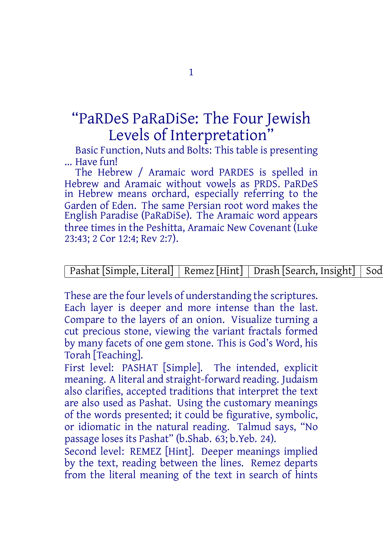## "PaRDeS PaRaDiSe: The Four Jewish Levels of Interpretation"

Basic Function, Nuts and Bolts: This table is presenting ... Have fun!

The Hebrew / Aramaic word PARDES is spelled in Hebrew and Aramaic without vowels as PRDS. PaRDeS in Hebrew means orchard, especially referring to the Garden of Eden. The same Persian root word makes the English Paradise (PaRaDiSe). The Aramaic word appears three times in the Peshitta, Aramaic New Covenant (Luke 23:43; 2 Cor 12:4; Rev 2:7).

## Pashat [Simple, Literal] Remez [Hint] Drash [Search, Insight] Sod

These are the four levels of understanding the scriptures. Each layer is deeper and more intense than the last. Compare to the layers of an onion. Visualize turning a cut precious stone, viewing the variant fractals formed by many facets of one gem stone. This is God's Word, his Torah [Teaching].

First level: PASHAT [Simple]. The intended, explicit meaning. A literal and straight-forward reading. Judaism also clarifies, accepted traditions that interpret the text are also used as Pashat. Using the customary meanings of the words presented; it could be figurative, symbolic, or idiomatic in the natural reading. Talmud says, "No passage loses its Pashat" (b.Shab. 63; b.Yeb. 24).

Second level: REMEZ [Hint]. Deeper meanings implied by the text, reading between the lines. Remez departs from the literal meaning of the text in search of hints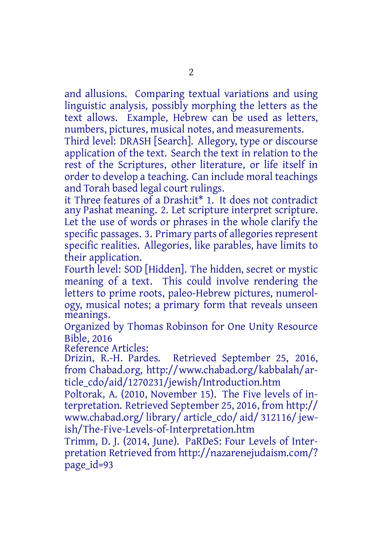and allusions. Comparing textual variations and using linguistic analysis, possibly morphing the letters as the text allows. Example, Hebrew can be used as letters, numbers, pictures, musical notes, and measurements.

Third level: DRASH [Search]. Allegory, type or discourse application of the text. Search the text in relation to the rest of the Scriptures, other literature, or life itself in order to develop a teaching. Can include moral teachings and Torah based legal court rulings.

it Three features of a Drash:it\* 1. It does not contradict any Pashat meaning. 2. Let scripture interpret scripture. Let the use of words or phrases in the whole clarify the specific passages. 3. Primary parts of allegories represent specific realities. Allegories, like parables, have limits to their application.

Fourth level: SOD [Hidden]. The hidden, secret or mystic meaning of a text. This could involve rendering the letters to prime roots, paleo-Hebrew pictures, numerology, musical notes; a primary form that reveals unseen meanings.

Organized by Thomas Robinson for One Unity Resource Bible, 2016

Reference Articles:

Drizin, R.-H. Pardes. Retrieved September 25, 2016, from Chabad.org, http://www.chabad.org/kabbalah/article\_cdo/aid/1270231/jewish/Introduction.htm

Poltorak, A. (2010, November 15). The Five levels of interpretation. Retrieved September 25, 2016, from http:// www.chabad.org/ library/ article\_cdo/ aid/ 312116/ jewish/The-Five-Levels-of-Interpretation.htm

Trimm, D. J. (2014, June). PaRDeS: Four Levels of Interpretation Retrieved from http://nazarenejudaism.com/? page id=93